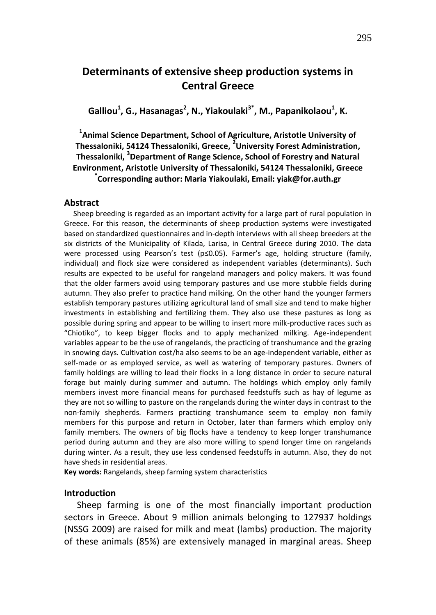# **Determinants of extensive sheep production systems in Central Greece**

**Galliou<sup>1</sup> , G., Hasanagas<sup>2</sup> , N., Yiakoulaki3\*, M., Papanikolaou<sup>1</sup> , K.**

**1 Animal Science Department, School of Agriculture, Aristotle University of Thessaloniki, 54124 Thessaloniki, Greece, <sup>2</sup> University Forest Administration, Thessaloniki, <sup>3</sup> Department of Range Science, School of Forestry and Natural Environment, Aristotle University of Thessaloniki, 54124 Thessaloniki, Greece \* Corresponding author: Maria Yiakoulaki, Email: yiak@for.auth.gr**

#### **Abstract**

 Sheep breeding is regarded as an important activity for a large part of rural population in Greece. For this reason, the determinants of sheep production systems were investigated based on standardized questionnaires and in-depth interviews with all sheep breeders at the six districts of the Municipality of Kilada, Larisa, in Central Greece during 2010. The data were processed using Pearson's test (p≤0.05). Farmer's age, holding structure (family, individual) and flock size were considered as independent variables (determinants). Such results are expected to be useful for rangeland managers and policy makers. It was found that the older farmers avoid using temporary pastures and use more stubble fields during autumn. They also prefer to practice hand milking. On the other hand the younger farmers establish temporary pastures utilizing agricultural land of small size and tend to make higher investments in establishing and fertilizing them. They also use these pastures as long as possible during spring and appear to be willing to insert more milk-productive races such as "Chiotiko", to keep bigger flocks and to apply mechanized milking. Age-independent variables appear to be the use of rangelands, the practicing of transhumance and the grazing in snowing days. Cultivation cost/ha also seems to be an age-independent variable, either as self-made or as employed service, as well as watering of temporary pastures. Owners of family holdings are willing to lead their flocks in a long distance in order to secure natural forage but mainly during summer and autumn. The holdings which employ only family members invest more financial means for purchased feedstuffs such as hay of legume as they are not so willing to pasture on the rangelands during the winter days in contrast to the non-family shepherds. Farmers practicing transhumance seem to employ non family members for this purpose and return in October, later than farmers which employ only family members. The owners of big flocks have a tendency to keep longer transhumance period during autumn and they are also more willing to spend longer time on rangelands during winter. As a result, they use less condensed feedstuffs in autumn. Also, they do not have sheds in residential areas.

**Key words:** Rangelands, sheep farming system characteristics

## **Introduction**

Sheep farming is one of the most financially important production sectors in Greece. About 9 million animals belonging to 127937 holdings (NSSG 2009) are raised for milk and meat (lambs) production. The majority of these animals (85%) are extensively managed in marginal areas. Sheep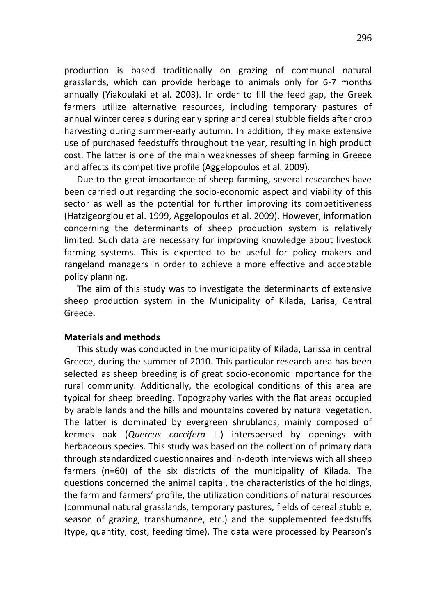production is based traditionally on grazing of communal natural grasslands, which can provide herbage to animals only for 6-7 months annually (Yiakoulaki et al. 2003). In order to fill the feed gap, the Greek farmers utilize alternative resources, including temporary pastures of annual winter cereals during early spring and cereal stubble fields after crop harvesting during summer-early autumn. In addition, they make extensive use of purchased feedstuffs throughout the year, resulting in high product cost. The latter is one of the main weaknesses of sheep farming in Greece and affects its competitive profile (Aggelopoulos et al. 2009).

Due to the great importance of sheep farming, several researches have been carried out regarding the socio-economic aspect and viability of this sector as well as the potential for further improving its competitiveness (Hatzigeorgiou et al. 1999, Aggelopoulos et al. 2009). However, information concerning the determinants of sheep production system is relatively limited. Such data are necessary for improving knowledge about livestock farming systems. This is expected to be useful for policy makers and rangeland managers in order to achieve a more effective and acceptable policy planning.

The aim of this study was to investigate the determinants of extensive sheep production system in the Municipality of Kilada, Larisa, Central Greece.

## **Materials and methods**

This study was conducted in the municipality of Kilada, Larissa in central Greece, during the summer of 2010. This particular research area has been selected as sheep breeding is of great socio-economic importance for the rural community. Additionally, the ecological conditions of this area are typical for sheep breeding. Topography varies with the flat areas occupied by arable lands and the hills and mountains covered by natural vegetation. The latter is dominated by evergreen shrublands, mainly composed of kermes oak (*Quercus coccifera* L.) interspersed by openings with herbaceous species. This study was based on the collection of primary data through standardized questionnaires and in-depth interviews with all sheep farmers (n=60) of the six districts of the municipality of Kilada. The questions concerned the animal capital, the characteristics of the holdings, the farm and farmers' profile, the utilization conditions of natural resources (communal natural grasslands, temporary pastures, fields of cereal stubble, season of grazing, transhumance, etc.) and the supplemented feedstuffs (type, quantity, cost, feeding time). The data were processed by Pearson's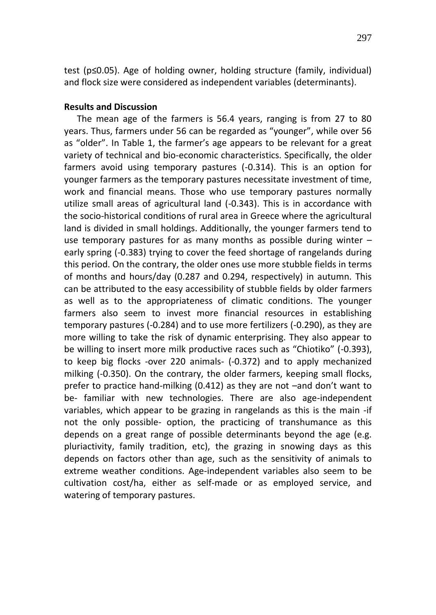test (p≤0.05). Age of holding owner, holding structure (family, individual) and flock size were considered as independent variables (determinants).

## **Results and Discussion**

The mean age of the farmers is 56.4 years, ranging is from 27 to 80 years. Thus, farmers under 56 can be regarded as "younger", while over 56 as "older". In Table 1, the farmer's age appears to be relevant for a great variety of technical and bio-economic characteristics. Specifically, the older farmers avoid using temporary pastures (-0.314). This is an option for younger farmers as the temporary pastures necessitate investment of time, work and financial means. Those who use temporary pastures normally utilize small areas of agricultural land (-0.343). This is in accordance with the socio-historical conditions of rural area in Greece where the agricultural land is divided in small holdings. Additionally, the younger farmers tend to use temporary pastures for as many months as possible during winter – early spring (-0.383) trying to cover the feed shortage of rangelands during this period. On the contrary, the older ones use more stubble fields in terms of months and hours/day (0.287 and 0.294, respectively) in autumn. This can be attributed to the easy accessibility of stubble fields by older farmers as well as to the appropriateness of climatic conditions. The younger farmers also seem to invest more financial resources in establishing temporary pastures (-0.284) and to use more fertilizers (-0.290), as they are more willing to take the risk of dynamic enterprising. They also appear to be willing to insert more milk productive races such as "Chiotiko" (-0.393), to keep big flocks -over 220 animals- (-0.372) and to apply mechanized milking (-0.350). On the contrary, the older farmers, keeping small flocks, prefer to practice hand-milking (0.412) as they are not –and don't want to be- familiar with new technologies. There are also age-independent variables, which appear to be grazing in rangelands as this is the main -if not the only possible- option, the practicing of transhumance as this depends on a great range of possible determinants beyond the age (e.g. pluriactivity, family tradition, etc), the grazing in snowing days as this depends on factors other than age, such as the sensitivity of animals to extreme weather conditions. Age-independent variables also seem to be cultivation cost/ha, either as self-made or as employed service, and watering of temporary pastures.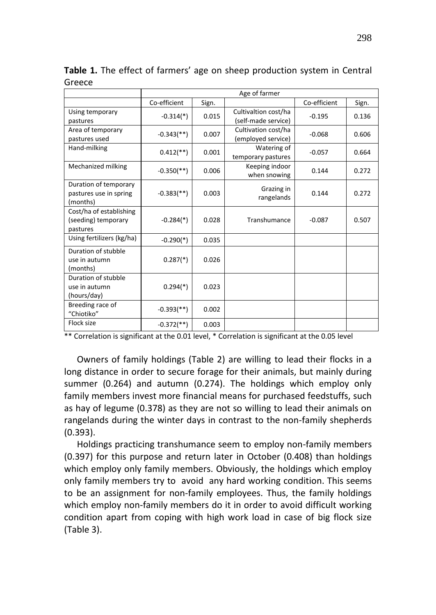|                                                             | Age of farmer              |       |                                             |              |       |  |
|-------------------------------------------------------------|----------------------------|-------|---------------------------------------------|--------------|-------|--|
|                                                             | Co-efficient               | Sign. |                                             | Co-efficient | Sign. |  |
| Using temporary<br>pastures                                 | $-0.314$ <sup>*</sup> )    | 0.015 | Cultivaltion cost/ha<br>(self-made service) | $-0.195$     | 0.136 |  |
| Area of temporary<br>pastures used                          | $-0.343$ <sup>**</sup> )   | 0.007 | Cultivation cost/ha<br>(employed service)   | $-0.068$     | 0.606 |  |
| Hand-milking                                                | $0.412$ <sup>**</sup> )    | 0.001 | Watering of<br>temporary pastures           | $-0.057$     | 0.664 |  |
| Mechanized milking                                          | $-0.350$ (**)              | 0.006 | Keeping indoor<br>when snowing              | 0.144        | 0.272 |  |
| Duration of temporary<br>pastures use in spring<br>(months) | $-0.383$ <sup>**</sup> )   | 0.003 | Grazing in<br>rangelands                    | 0.144        | 0.272 |  |
| Cost/ha of establishing<br>(seeding) temporary<br>pastures  | $-0.284$ <sup>(*)</sup>    | 0.028 | Transhumance                                | $-0.087$     | 0.507 |  |
| Using fertilizers (kg/ha)                                   | $-0.290(*)$                | 0.035 |                                             |              |       |  |
| Duration of stubble<br>use in autumn<br>(months)            | $0.287$ <sup>*</sup> )     | 0.026 |                                             |              |       |  |
| Duration of stubble<br>use in autumn<br>(hours/day)         | $0.294$ <sup>(*)</sup>     | 0.023 |                                             |              |       |  |
| Breeding race of<br>"Chiotiko"                              | $-0.393$ <sup>(**)</sup> ) | 0.002 |                                             |              |       |  |
| Flock size                                                  | $-0.372$ (**)              | 0.003 |                                             |              |       |  |

**Table 1.** The effect of farmers' age on sheep production system in Central Greece

\*\* Correlation is significant at the 0.01 level, \* Correlation is significant at the 0.05 level

Owners of family holdings (Table 2) are willing to lead their flocks in a long distance in order to secure forage for their animals, but mainly during summer (0.264) and autumn (0.274). The holdings which employ only family members invest more financial means for purchased feedstuffs, such as hay of legume (0.378) as they are not so willing to lead their animals on rangelands during the winter days in contrast to the non-family shepherds (0.393).

Holdings practicing transhumance seem to employ non-family members (0.397) for this purpose and return later in October (0.408) than holdings which employ only family members. Obviously, the holdings which employ only family members try to avoid any hard working condition. This seems to be an assignment for non-family employees. Thus, the family holdings which employ non-family members do it in order to avoid difficult working condition apart from coping with high work load in case of big flock size (Table 3).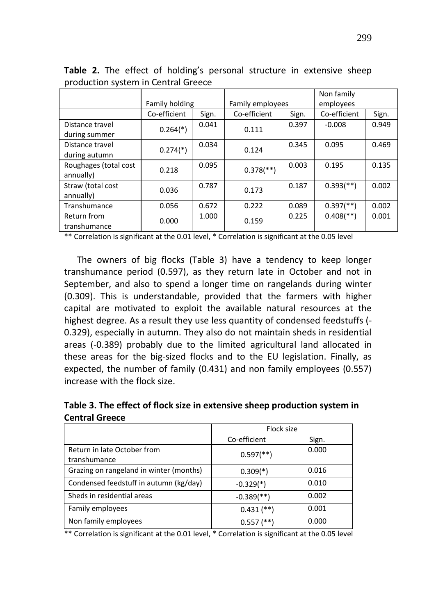|                                    | Family holding         |       | Family employees          |       | Non family<br>employees   |       |
|------------------------------------|------------------------|-------|---------------------------|-------|---------------------------|-------|
|                                    | Co-efficient           | Sign. | Co-efficient              | Sign. | Co-efficient              | Sign. |
| Distance travel<br>during summer   | $0.264$ <sup>(*)</sup> | 0.041 | 0.111                     | 0.397 | $-0.008$                  | 0.949 |
| Distance travel                    | $0.274$ <sup>(*)</sup> | 0.034 | 0.124                     | 0.345 | 0.095                     | 0.469 |
| during autumn                      |                        |       |                           |       |                           |       |
| Roughages (total cost<br>annually) | 0.218                  | 0.095 | $0.378$ <sup>(**)</sup> ) | 0.003 | 0.195                     | 0.135 |
| Straw (total cost<br>annually)     | 0.036                  | 0.787 | 0.173                     | 0.187 | $0.393$ <sup>(**)</sup> ) | 0.002 |
| Transhumance                       | 0.056                  | 0.672 | 0.222                     | 0.089 | $0.397$ <sup>(**)</sup> ) | 0.002 |
| Return from<br>transhumance        | 0.000                  | 1.000 | 0.159                     | 0.225 | $0.408$ <sup>**</sup> )   | 0.001 |

**Table 2.** The effect of holding's personal structure in extensive sheep production system in Central Greece

\*\* Correlation is significant at the 0.01 level, \* Correlation is significant at the 0.05 level

The owners of big flocks (Table 3) have a tendency to keep longer transhumance period (0.597), as they return late in October and not in September, and also to spend a longer time on rangelands during winter (0.309). This is understandable, provided that the farmers with higher capital are motivated to exploit the available natural resources at the highest degree. As a result they use less quantity of condensed feedstuffs (- 0.329), especially in autumn. They also do not maintain sheds in residential areas (-0.389) probably due to the limited agricultural land allocated in these areas for the big-sized flocks and to the EU legislation. Finally, as expected, the number of family (0.431) and non family employees (0.557) increase with the flock size.

**Table 3. The effect of flock size in extensive sheep production system in Central Greece**

|                                         | Flock size               |       |
|-----------------------------------------|--------------------------|-------|
|                                         | Co-efficient             | Sign. |
| Return in late October from             | $0.597$ <sup>**</sup> )  | 0.000 |
| transhumance                            |                          |       |
| Grazing on rangeland in winter (months) | $0.309(*)$               | 0.016 |
| Condensed feedstuff in autumn (kg/day)  | $-0.329(*)$              | 0.010 |
| Sheds in residential areas              | $-0.389$ <sup>**</sup> ) | 0.002 |
| Family employees                        | $0.431$ (**)             | 0.001 |
| Non family employees                    | $0.557$ (**)             | 0.000 |

\*\* Correlation is significant at the 0.01 level, \* Correlation is significant at the 0.05 level